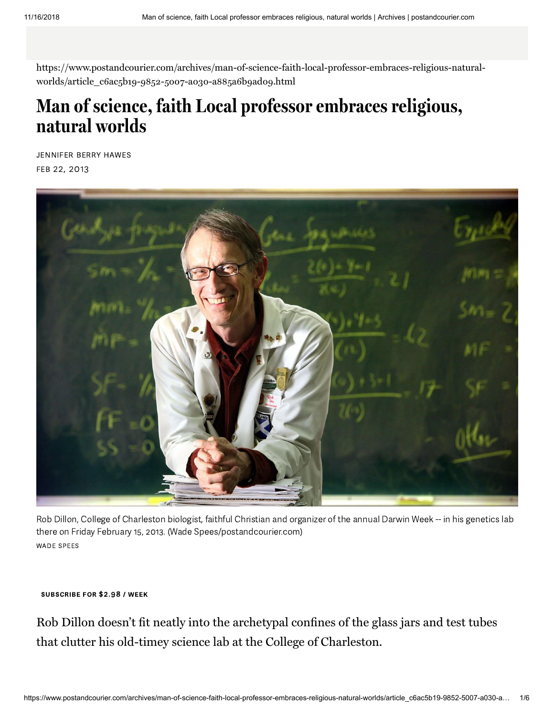https://www.postandcourier.com/archives/man-of-science-faith-local-professor-embraces-religious-naturalworlds/article\_c6ac5b19-9852-5007-a030-a885a6b9ado9.html

## **Man of science, faith Local professor embraces religious, natural worlds**

JENNIFER BERRY HAWES FEB 22, 2013



Rob Dillon, College of Charleston biologist, faithful Christian and organizer of the annual Darwin Week -- in his genetics lab there on Friday February 15, 2013. (Wade Spees/postandcourier.com) **WADE SPEES** 

## SUBSCRIBE FOR \$2.98 / WEEK

Rob Dillon doesn't fit neatly into the archetypal confines of the glass jars and test tubes that clutter his old-timey science lab at the College of Charleston.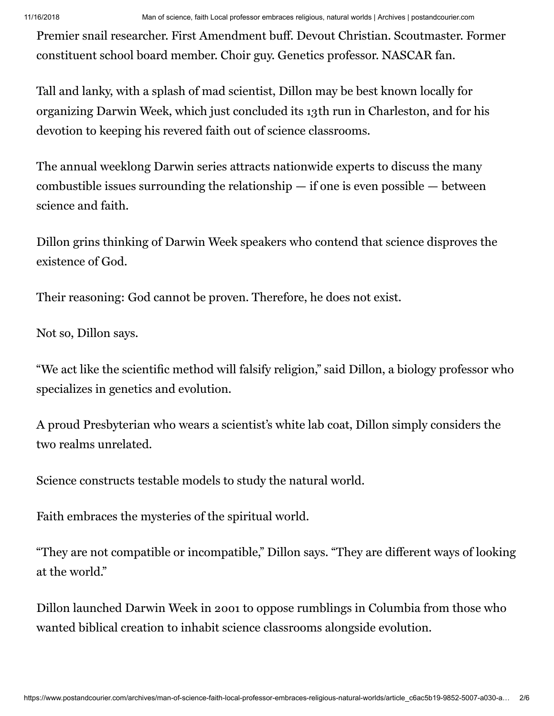11/16/2018 Man of science, faith Local professor embraces religious, natural worlds | Archives | postandcourier.com

Premier snail researcher. First Amendment buff. Devout Christian. Scoutmaster. Former constituent school board member. Choir guy. Genetics professor. NASCAR fan.

Tall and lanky, with a splash of mad scientist, Dillon may be best known locally for organizing Darwin Week, which just concluded its 13th run in Charleston, and for his devotion to keeping his revered faith out of science classrooms.

The annual weeklong Darwin series attracts nationwide experts to discuss the many combustible issues surrounding the relationship — if one is even possible — between science and faith.

Dillon grins thinking of Darwin Week speakers who contend that science disproves the existence of God.

Their reasoning: God cannot be proven. Therefore, he does not exist.

Not so, Dillon says.

"We act like the scientific method will falsify religion," said Dillon, a biology professor who specializes in genetics and evolution.

A proud Presbyterian who wears a scientist's white lab coat, Dillon simply considers the two realms unrelated.

Science constructs testable models to study the natural world.

Faith embraces the mysteries of the spiritual world.

"They are not compatible or incompatible," Dillon says. "They are different ways of looking at the world."

Dillon launched Darwin Week in 2001 to oppose rumblings in Columbia from those who wanted biblical creation to inhabit science classrooms alongside evolution.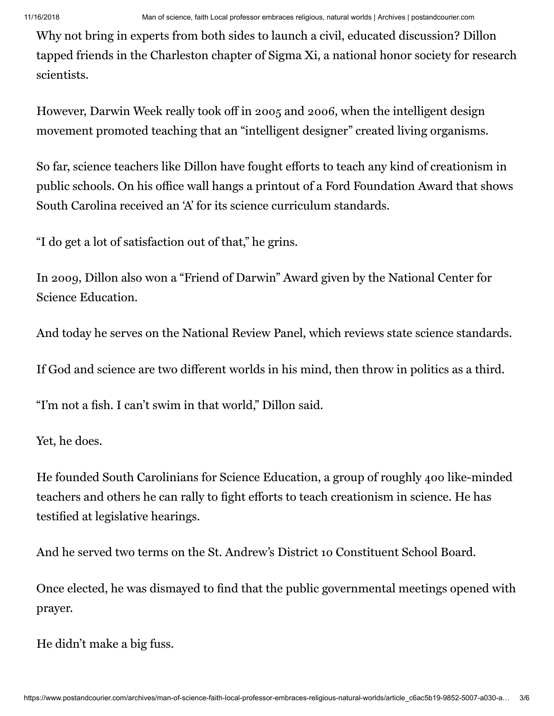Why not bring in experts from both sides to launch a civil, educated discussion? Dillon tapped friends in the Charleston chapter of Sigma Xi, a national honor society for research scientists.

However, Darwin Week really took off in 2005 and 2006, when the intelligent design movement promoted teaching that an "intelligent designer" created living organisms.

So far, science teachers like Dillon have fought efforts to teach any kind of creationism in public schools. On his office wall hangs a printout of a Ford Foundation Award that shows South Carolina received an 'A' for its science curriculum standards.

"I do get a lot of satisfaction out of that," he grins.

In 2009, Dillon also won a "Friend of Darwin" Award given by the National Center for Science Education.

And today he serves on the National Review Panel, which reviews state science standards.

If God and science are two different worlds in his mind, then throw in politics as a third.

"I'm not a fish. I can't swim in that world," Dillon said.

Yet, he does.

He founded South Carolinians for Science Education, a group of roughly 400 like-minded teachers and others he can rally to fight efforts to teach creationism in science. He has testified at legislative hearings.

And he served two terms on the St. Andrew's District 10 Constituent School Board.

Once elected, he was dismayed to find that the public governmental meetings opened with prayer.

He didn't make a big fuss.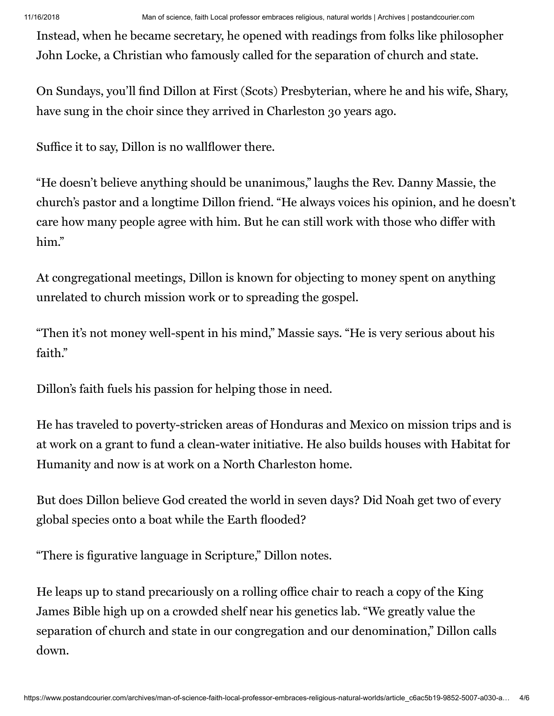11/16/2018 Man of science, faith Local professor embraces religious, natural worlds | Archives | postandcourier.com

Instead, when he became secretary, he opened with readings from folks like philosopher John Locke, a Christian who famously called for the separation of church and state.

On Sundays, you'll find Dillon at First (Scots) Presbyterian, where he and his wife, Shary, have sung in the choir since they arrived in Charleston 30 years ago.

Suffice it to say, Dillon is no wallflower there.

"He doesn't believe anything should be unanimous," laughs the Rev. Danny Massie, the church's pastor and a longtime Dillon friend. "He always voices his opinion, and he doesn't care how many people agree with him. But he can still work with those who differ with him."

At congregational meetings, Dillon is known for objecting to money spent on anything unrelated to church mission work or to spreading the gospel.

"Then it's not money well-spent in his mind," Massie says. "He is very serious about his faith."

Dillon's faith fuels his passion for helping those in need.

He has traveled to poverty-stricken areas of Honduras and Mexico on mission trips and is at work on a grant to fund a clean-water initiative. He also builds houses with Habitat for Humanity and now is at work on a North Charleston home.

But does Dillon believe God created the world in seven days? Did Noah get two of every global species onto a boat while the Earth flooded?

"There is figurative language in Scripture," Dillon notes.

He leaps up to stand precariously on a rolling office chair to reach a copy of the King James Bible high up on a crowded shelf near his genetics lab. "We greatly value the separation of church and state in our congregation and our denomination," Dillon calls down.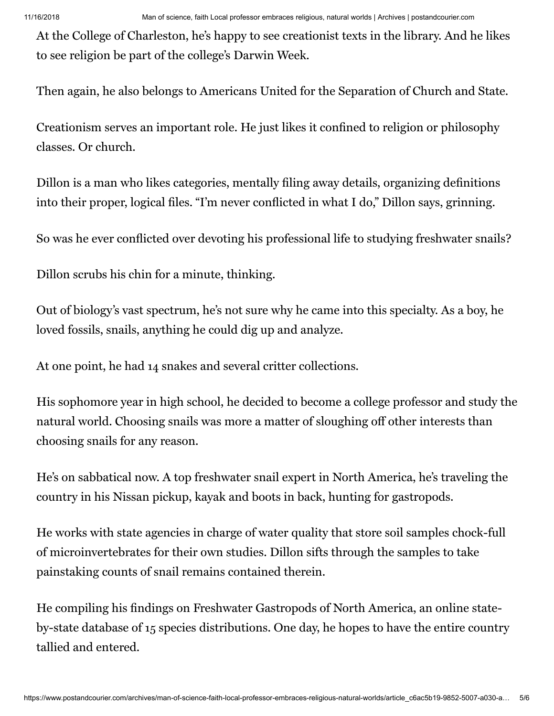At the College of Charleston, he's happy to see creationist texts in the library. And he likes to see religion be part of the college's Darwin Week.

Then again, he also belongs to Americans United for the Separation of Church and State.

Creationism serves an important role. He just likes it confined to religion or philosophy classes. Or church.

Dillon is a man who likes categories, mentally filing away details, organizing definitions into their proper, logical files. "I'm never conflicted in what I do," Dillon says, grinning.

So was he ever conflicted over devoting his professional life to studying freshwater snails?

Dillon scrubs his chin for a minute, thinking.

Out of biology's vast spectrum, he's not sure why he came into this specialty. As a boy, he loved fossils, snails, anything he could dig up and analyze.

At one point, he had 14 snakes and several critter collections.

His sophomore year in high school, he decided to become a college professor and study the natural world. Choosing snails was more a matter of sloughing off other interests than choosing snails for any reason.

He's on sabbatical now. A top freshwater snail expert in North America, he's traveling the country in his Nissan pickup, kayak and boots in back, hunting for gastropods.

He works with state agencies in charge of water quality that store soil samples chock-full of microinvertebrates for their own studies. Dillon sifts through the samples to take painstaking counts of snail remains contained therein.

He compiling his findings on Freshwater Gastropods of North America, an online stateby-state database of 15 species distributions. One day, he hopes to have the entire country tallied and entered.